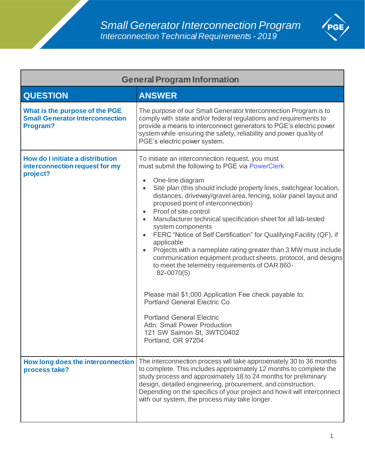

| <b>General Program Information</b>                                                   |                                                                                                                                                                                                                                                                                                                                                                                                                                                                                                                                                                                                                                                                                                                                                                                                                                                                                                                                                                                                      |
|--------------------------------------------------------------------------------------|------------------------------------------------------------------------------------------------------------------------------------------------------------------------------------------------------------------------------------------------------------------------------------------------------------------------------------------------------------------------------------------------------------------------------------------------------------------------------------------------------------------------------------------------------------------------------------------------------------------------------------------------------------------------------------------------------------------------------------------------------------------------------------------------------------------------------------------------------------------------------------------------------------------------------------------------------------------------------------------------------|
| <b>QUESTION</b>                                                                      | <b>ANSWER</b>                                                                                                                                                                                                                                                                                                                                                                                                                                                                                                                                                                                                                                                                                                                                                                                                                                                                                                                                                                                        |
| What is the purpose of the PGE<br><b>Small Generator Interconnection</b><br>Program? | The purpose of our Small Generator Interconnection Program is to<br>comply with state and/or federal regulations and requirements to<br>provide a means to interconnect generators to PGE's electric power<br>system while ensuring the safety, reliability and power quality of<br>PGE's electric power system.                                                                                                                                                                                                                                                                                                                                                                                                                                                                                                                                                                                                                                                                                     |
| How do I initiate a distribution<br>interconnection request for my<br>project?       | To initiate an interconnection request, you must<br>must submit the following to PGE via PowerClerk<br>One-line diagram<br>$\bullet$<br>Site plan (this should include property lines, switchgear location,<br>$\bullet$<br>distances, driveway/gravel area, fencing, solar panel layout and<br>proposed point of interconnection)<br>Proof of site control<br>$\bullet$<br>Manufacturer technical specification sheet for all lab-tested<br>system components<br>FERC "Notice of Self Certification" for Qualifying Facility (QF), if<br>$\bullet$<br>applicable<br>Projects with a nameplate rating greater than 3 MW must include<br>$\bullet$<br>communication equipment product sheets, protocol, and designs<br>to meet the telemetry requirements of OAR 860-<br>82-0070(5)<br>Please mail \$1,000 Application Fee check payable to:<br>Portland General Electric Co.<br><b>Portland General Electric</b><br>Attn: Small Power Production<br>121 SW Salmon St, 3WTC0402<br>Portland, OR 97204 |
| How long does the interconnection<br>process take?                                   | The interconnection process will take approximately 30 to 36 months<br>to complete. This includes approximately 12 months to complete the<br>study process and approximately 18 to 24 months for preliminary<br>design, detailed engineering, procurement, and construction.<br>Depending on the specifics of your project and how it will interconnect<br>with our system, the process may take longer.                                                                                                                                                                                                                                                                                                                                                                                                                                                                                                                                                                                             |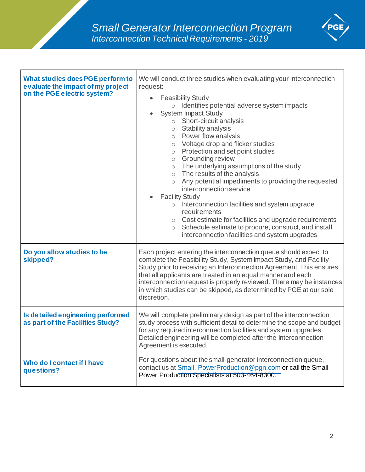

| What studies does PGE perform to<br>evaluate the impact of my project<br>on the PGE electric system? | We will conduct three studies when evaluating your interconnection<br>request:<br><b>Feasibility Study</b><br>$\bullet$<br>Identifies potential adverse system impacts<br>$\circ$<br><b>System Impact Study</b><br>$\circ$ Short-circuit analysis<br>$\circ$ Stability analysis<br>o Power flow analysis<br>o Voltage drop and flicker studies<br>o Protection and set point studies<br>o Grounding review<br>o The underlying assumptions of the study<br>o The results of the analysis<br>o Any potential impediments to providing the requested<br>interconnection service<br><b>Facility Study</b><br>Interconnection facilities and system upgrade<br>$\circ$<br>requirements<br>o Cost estimate for facilities and upgrade requirements<br>Schedule estimate to procure, construct, and install<br>$\circ$<br>interconnection facilities and system upgrades |
|------------------------------------------------------------------------------------------------------|--------------------------------------------------------------------------------------------------------------------------------------------------------------------------------------------------------------------------------------------------------------------------------------------------------------------------------------------------------------------------------------------------------------------------------------------------------------------------------------------------------------------------------------------------------------------------------------------------------------------------------------------------------------------------------------------------------------------------------------------------------------------------------------------------------------------------------------------------------------------|
| Do you allow studies to be<br>skipped?                                                               | Each project entering the interconnection queue should expect to<br>complete the Feasibility Study, System Impact Study, and Facility<br>Study prior to receiving an Interconnection Agreement. This ensures<br>that all applicants are treated in an equal manner and each<br>interconnection request is properly reviewed. There may be instances<br>in which studies can be skipped, as determined by PGE at our sole<br>discretion.                                                                                                                                                                                                                                                                                                                                                                                                                            |
| Is detailed engineering performed<br>as part of the Facilities Study?                                | We will complete preliminary design as part of the interconnection<br>study process with sufficient detail to determine the scope and budget<br>for any required interconnection facilities and system upgrades.<br>Detailed engineering will be completed after the Interconnection<br>Agreement is executed.                                                                                                                                                                                                                                                                                                                                                                                                                                                                                                                                                     |
| Who do I contact if I have<br>questions?                                                             | For questions about the small-generator interconnection queue,<br>contact us at Small. PowerProduction@pgn.com or call the Small<br>Power Production Specialists at 503-464-8300.                                                                                                                                                                                                                                                                                                                                                                                                                                                                                                                                                                                                                                                                                  |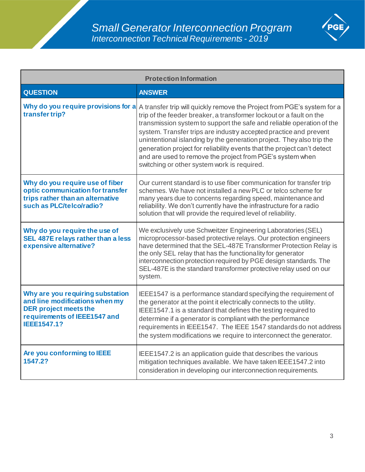

| <b>Protection Information</b>                                                                                                                            |                                                                                                                                                                                                                                                                                                                                                                                                                                                                                                                                                              |
|----------------------------------------------------------------------------------------------------------------------------------------------------------|--------------------------------------------------------------------------------------------------------------------------------------------------------------------------------------------------------------------------------------------------------------------------------------------------------------------------------------------------------------------------------------------------------------------------------------------------------------------------------------------------------------------------------------------------------------|
| <b>QUESTION</b>                                                                                                                                          | <b>ANSWER</b>                                                                                                                                                                                                                                                                                                                                                                                                                                                                                                                                                |
| Why do you require provisions for a<br>transfer trip?                                                                                                    | A transfer trip will quickly remove the Project from PGE's system for a<br>trip of the feeder breaker, a transformer lockout or a fault on the<br>transmission system to support the safe and reliable operation of the<br>system. Transfer trips are industry accepted practice and prevent<br>unintentional islanding by the generation project. They also trip the<br>generation project for reliability events that the project can't detect<br>and are used to remove the project from PGE's system when<br>switching or other system work is required. |
| Why do you require use of fiber<br>optic communication for transfer<br>trips rather than an alternative<br>such as PLC/telco/radio?                      | Our current standard is to use fiber communication for transfer trip<br>schemes. We have not installed a new PLC or telco scheme for<br>many years due to concerns regarding speed, maintenance and<br>reliability. We don't currently have the infrastructure for a radio<br>solution that will provide the required level of reliability.                                                                                                                                                                                                                  |
| Why do you require the use of<br>SEL 487E relays rather than a less<br>expensive alternative?                                                            | We exclusively use Schweitzer Engineering Laboratories (SEL)<br>microprocessor-based protective relays. Our protection engineers<br>have determined that the SEL-487E Transformer Protection Relay is<br>the only SEL relay that has the functionality for generator<br>interconnection protection required by PGE design standards. The<br>SEL-487E is the standard transformer protective relay used on our<br>system.                                                                                                                                     |
| Why are you requiring substation<br>and line modifications when my<br><b>DER project meets the</b><br>requirements of IEEE1547 and<br><b>IEEE1547.1?</b> | IEEE1547 is a performance standard specifying the requirement of<br>the generator at the point it electrically connects to the utility.<br>IEEE1547.1 is a standard that defines the testing required to<br>determine if a generator is compliant with the performance<br>requirements in IEEE1547. The IEEE 1547 standards do not address<br>the system modifications we require to interconnect the generator.                                                                                                                                             |
| Are you conforming to IEEE<br>1547.2?                                                                                                                    | IEEE1547.2 is an application guide that describes the various<br>mitigation techniques available. We have taken IEEE1547.2 into<br>consideration in developing our interconnection requirements.                                                                                                                                                                                                                                                                                                                                                             |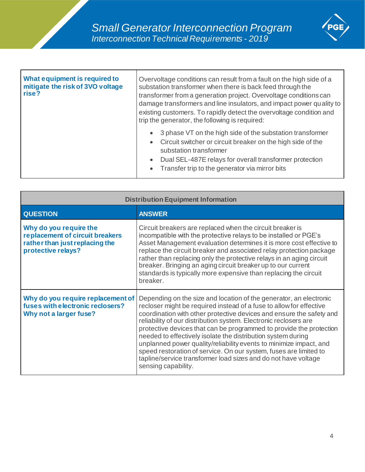

| <b>What equipment is required to</b><br>mitigate the risk of 3VO voltage<br>rise? | Overvoltage conditions can result from a fault on the high side of a<br>substation transformer when there is back feed through the<br>transformer from a generation project. Overvoltage conditions can<br>damage transformers and line insulators, and impact power quality to<br>existing customers. To rapidly detect the overvoltage condition and<br>trip the generator, the following is required: |
|-----------------------------------------------------------------------------------|----------------------------------------------------------------------------------------------------------------------------------------------------------------------------------------------------------------------------------------------------------------------------------------------------------------------------------------------------------------------------------------------------------|
|                                                                                   | 3 phase VT on the high side of the substation transformer<br>$\bullet$<br>Circuit switcher or circuit breaker on the high side of the<br>$\bullet$<br>substation transformer<br>Dual SEL-487E relays for overall transformer protection<br>$\bullet$<br>Transfer trip to the generator via mirror bits<br>$\bullet$                                                                                      |

| <b>Distribution Equipment Information</b>                                                                         |                                                                                                                                                                                                                                                                                                                                                                                                                                                                                                                                                                                                                                                                  |
|-------------------------------------------------------------------------------------------------------------------|------------------------------------------------------------------------------------------------------------------------------------------------------------------------------------------------------------------------------------------------------------------------------------------------------------------------------------------------------------------------------------------------------------------------------------------------------------------------------------------------------------------------------------------------------------------------------------------------------------------------------------------------------------------|
| <b>QUESTION</b>                                                                                                   | <b>ANSWER</b>                                                                                                                                                                                                                                                                                                                                                                                                                                                                                                                                                                                                                                                    |
| Why do you require the<br>replacement of circuit breakers<br>rather than just replacing the<br>protective relays? | Circuit breakers are replaced when the circuit breaker is<br>incompatible with the protective relays to be installed or PGE's<br>Asset Management evaluation determines it is more cost effective to<br>replace the circuit breaker and associated relay protection package<br>rather than replacing only the protective relays in an aging circuit<br>breaker. Bringing an aging circuit breaker up to our current<br>standards is typically more expensive than replacing the circuit<br>breaker.                                                                                                                                                              |
| Why do you require replacement of<br>fuses with electronic reclosers?<br>Why not a larger fuse?                   | Depending on the size and location of the generator, an electronic<br>recloser might be required instead of a fuse to allow for effective<br>coordination with other protective devices and ensure the safety and<br>reliability of our distribution system. Electronic reclosers are<br>protective devices that can be programmed to provide the protection<br>needed to effectively isolate the distribution system during<br>unplanned power quality/reliability events to minimize impact, and<br>speed restoration of service. On our system, fuses are limited to<br>tapline/service transformer load sizes and do not have voltage<br>sensing capability. |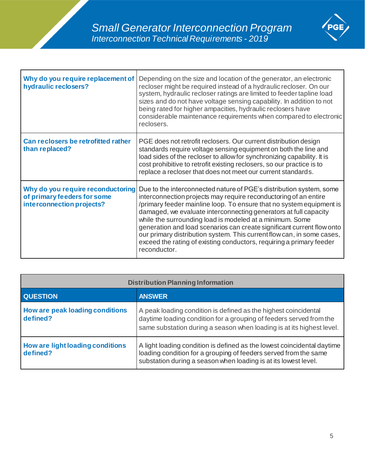

| Why do you require replacement of<br>hydraulic reclosers?                                     | Depending on the size and location of the generator, an electronic<br>recloser might be required instead of a hydraulic recloser. On our<br>system, hydraulic recloser ratings are limited to feeder tapline load<br>sizes and do not have voltage sensing capability. In addition to not<br>being rated for higher ampacities, hydraulic reclosers have<br>considerable maintenance requirements when compared to electronic<br>reclosers.                                                                                                                                                 |
|-----------------------------------------------------------------------------------------------|---------------------------------------------------------------------------------------------------------------------------------------------------------------------------------------------------------------------------------------------------------------------------------------------------------------------------------------------------------------------------------------------------------------------------------------------------------------------------------------------------------------------------------------------------------------------------------------------|
| Can reclosers be retrofitted rather<br>than replaced?                                         | PGE does not retrofit reclosers. Our current distribution design<br>standards require voltage sensing equipment on both the line and<br>load sides of the recloser to allow for synchronizing capability. It is<br>cost prohibitive to retrofit existing reclosers, so our practice is to<br>replace a recloser that does not meet our current standards.                                                                                                                                                                                                                                   |
| Why do you require reconductoring<br>of primary feeders for some<br>interconnection projects? | Due to the interconnected nature of PGE's distribution system, some<br>interconnection projects may require reconductoring of an entire<br>/primary feeder mainline loop. To ensure that no system equipment is<br>damaged, we evaluate interconnecting generators at full capacity<br>while the surrounding load is modeled at a minimum. Some<br>generation and load scenarios can create significant current flow onto<br>our primary distribution system. This current flow can, in some cases,<br>exceed the rating of existing conductors, requiring a primary feeder<br>reconductor. |

| <b>Distribution Planning Information</b>     |                                                                                                                                                                                                                 |
|----------------------------------------------|-----------------------------------------------------------------------------------------------------------------------------------------------------------------------------------------------------------------|
| <b>QUESTION</b>                              | <b>ANSWER</b>                                                                                                                                                                                                   |
| How are peak loading conditions<br>defined?  | A peak loading condition is defined as the highest coincidental<br>daytime loading condition for a grouping of feeders served from the<br>same substation during a season when loading is at its highest level. |
| How are light loading conditions<br>defined? | A light loading condition is defined as the lowest coincidental daytime<br>loading condition for a grouping of feeders served from the same<br>substation during a season when loading is at its lowest level.  |